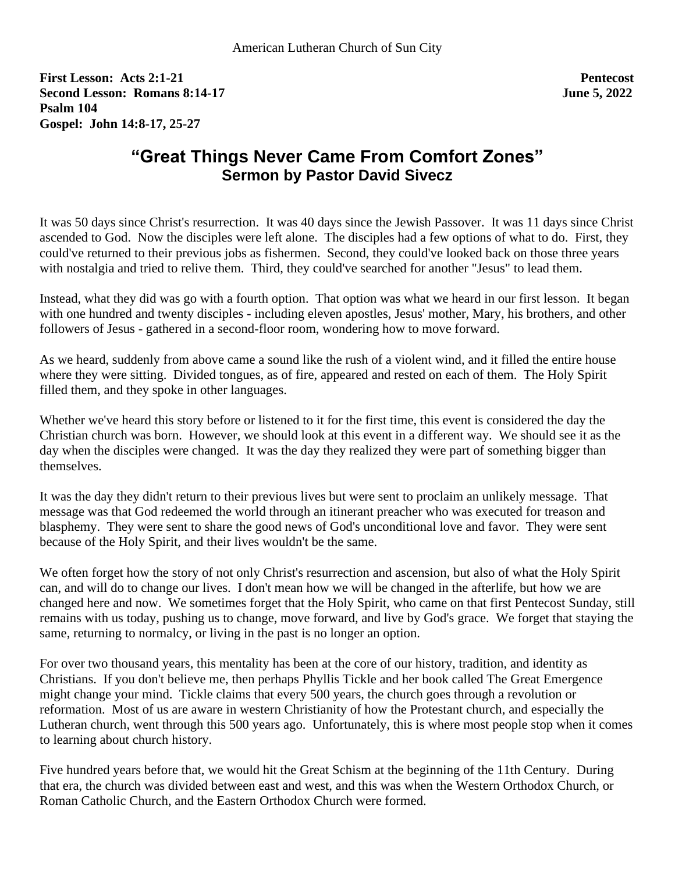**First Lesson: Acts 2:1-21 Pentecost Second Lesson: Romans 8:14-17 June 5, 2022 Psalm 104 Gospel: John 14:8-17, 25-27**

## **"Great Things Never Came From Comfort Zones" Sermon by Pastor David Sivecz**

It was 50 days since Christ's resurrection. It was 40 days since the Jewish Passover. It was 11 days since Christ ascended to God. Now the disciples were left alone. The disciples had a few options of what to do. First, they could've returned to their previous jobs as fishermen. Second, they could've looked back on those three years with nostalgia and tried to relive them. Third, they could've searched for another "Jesus" to lead them.

Instead, what they did was go with a fourth option. That option was what we heard in our first lesson. It began with one hundred and twenty disciples - including eleven apostles, Jesus' mother, Mary, his brothers, and other followers of Jesus - gathered in a second-floor room, wondering how to move forward.

As we heard, suddenly from above came a sound like the rush of a violent wind, and it filled the entire house where they were sitting. Divided tongues, as of fire, appeared and rested on each of them. The Holy Spirit filled them, and they spoke in other languages.

Whether we've heard this story before or listened to it for the first time, this event is considered the day the Christian church was born. However, we should look at this event in a different way. We should see it as the day when the disciples were changed. It was the day they realized they were part of something bigger than themselves.

It was the day they didn't return to their previous lives but were sent to proclaim an unlikely message. That message was that God redeemed the world through an itinerant preacher who was executed for treason and blasphemy. They were sent to share the good news of God's unconditional love and favor. They were sent because of the Holy Spirit, and their lives wouldn't be the same.

We often forget how the story of not only Christ's resurrection and ascension, but also of what the Holy Spirit can, and will do to change our lives. I don't mean how we will be changed in the afterlife, but how we are changed here and now. We sometimes forget that the Holy Spirit, who came on that first Pentecost Sunday, still remains with us today, pushing us to change, move forward, and live by God's grace. We forget that staying the same, returning to normalcy, or living in the past is no longer an option.

For over two thousand years, this mentality has been at the core of our history, tradition, and identity as Christians. If you don't believe me, then perhaps Phyllis Tickle and her book called The Great Emergence might change your mind. Tickle claims that every 500 years, the church goes through a revolution or reformation. Most of us are aware in western Christianity of how the Protestant church, and especially the Lutheran church, went through this 500 years ago. Unfortunately, this is where most people stop when it comes to learning about church history.

Five hundred years before that, we would hit the Great Schism at the beginning of the 11th Century. During that era, the church was divided between east and west, and this was when the Western Orthodox Church, or Roman Catholic Church, and the Eastern Orthodox Church were formed.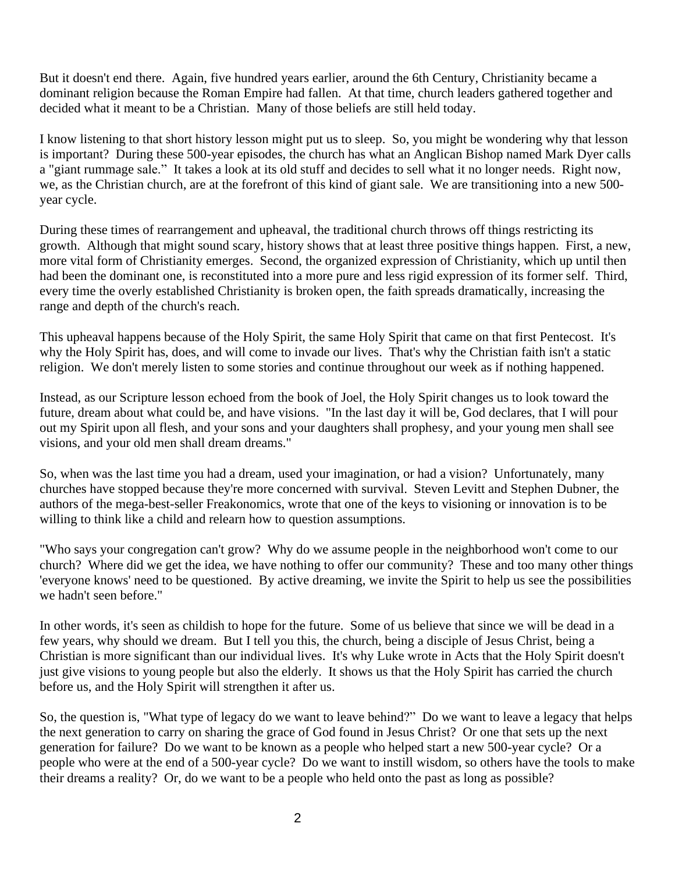But it doesn't end there. Again, five hundred years earlier, around the 6th Century, Christianity became a dominant religion because the Roman Empire had fallen. At that time, church leaders gathered together and decided what it meant to be a Christian. Many of those beliefs are still held today.

I know listening to that short history lesson might put us to sleep. So, you might be wondering why that lesson is important? During these 500-year episodes, the church has what an Anglican Bishop named Mark Dyer calls a "giant rummage sale." It takes a look at its old stuff and decides to sell what it no longer needs. Right now, we, as the Christian church, are at the forefront of this kind of giant sale. We are transitioning into a new 500 year cycle.

During these times of rearrangement and upheaval, the traditional church throws off things restricting its growth. Although that might sound scary, history shows that at least three positive things happen. First, a new, more vital form of Christianity emerges. Second, the organized expression of Christianity, which up until then had been the dominant one, is reconstituted into a more pure and less rigid expression of its former self. Third, every time the overly established Christianity is broken open, the faith spreads dramatically, increasing the range and depth of the church's reach.

This upheaval happens because of the Holy Spirit, the same Holy Spirit that came on that first Pentecost. It's why the Holy Spirit has, does, and will come to invade our lives. That's why the Christian faith isn't a static religion. We don't merely listen to some stories and continue throughout our week as if nothing happened.

Instead, as our Scripture lesson echoed from the book of Joel, the Holy Spirit changes us to look toward the future, dream about what could be, and have visions. "In the last day it will be, God declares, that I will pour out my Spirit upon all flesh, and your sons and your daughters shall prophesy, and your young men shall see visions, and your old men shall dream dreams."

So, when was the last time you had a dream, used your imagination, or had a vision? Unfortunately, many churches have stopped because they're more concerned with survival. Steven Levitt and Stephen Dubner, the authors of the mega-best-seller Freakonomics, wrote that one of the keys to visioning or innovation is to be willing to think like a child and relearn how to question assumptions.

"Who says your congregation can't grow? Why do we assume people in the neighborhood won't come to our church? Where did we get the idea, we have nothing to offer our community? These and too many other things 'everyone knows' need to be questioned. By active dreaming, we invite the Spirit to help us see the possibilities we hadn't seen before."

In other words, it's seen as childish to hope for the future. Some of us believe that since we will be dead in a few years, why should we dream. But I tell you this, the church, being a disciple of Jesus Christ, being a Christian is more significant than our individual lives. It's why Luke wrote in Acts that the Holy Spirit doesn't just give visions to young people but also the elderly. It shows us that the Holy Spirit has carried the church before us, and the Holy Spirit will strengthen it after us.

So, the question is, "What type of legacy do we want to leave behind?" Do we want to leave a legacy that helps the next generation to carry on sharing the grace of God found in Jesus Christ? Or one that sets up the next generation for failure? Do we want to be known as a people who helped start a new 500-year cycle? Or a people who were at the end of a 500-year cycle? Do we want to instill wisdom, so others have the tools to make their dreams a reality? Or, do we want to be a people who held onto the past as long as possible?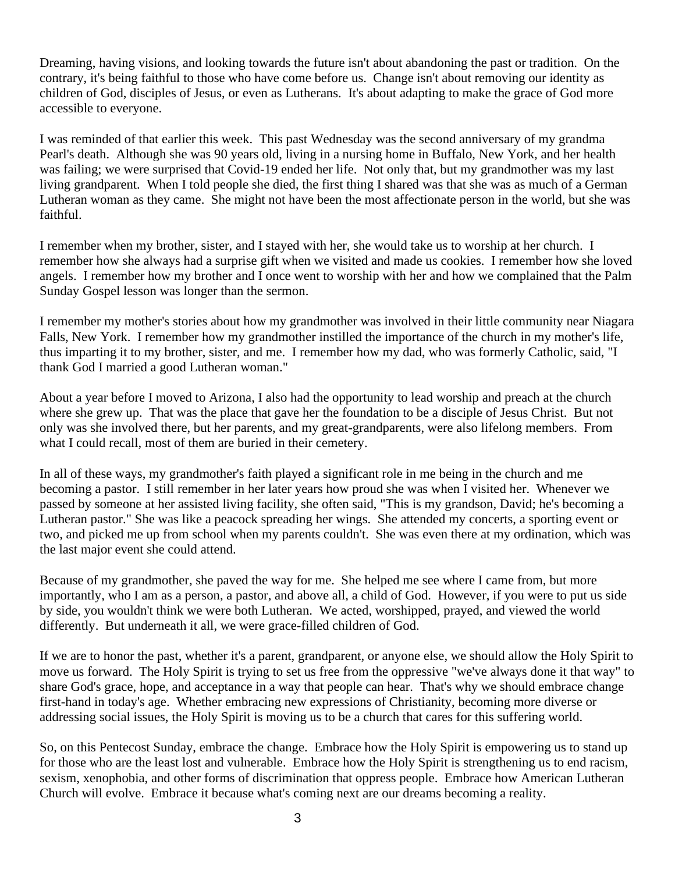Dreaming, having visions, and looking towards the future isn't about abandoning the past or tradition. On the contrary, it's being faithful to those who have come before us. Change isn't about removing our identity as children of God, disciples of Jesus, or even as Lutherans. It's about adapting to make the grace of God more accessible to everyone.

I was reminded of that earlier this week. This past Wednesday was the second anniversary of my grandma Pearl's death. Although she was 90 years old, living in a nursing home in Buffalo, New York, and her health was failing; we were surprised that Covid-19 ended her life. Not only that, but my grandmother was my last living grandparent. When I told people she died, the first thing I shared was that she was as much of a German Lutheran woman as they came. She might not have been the most affectionate person in the world, but she was faithful.

I remember when my brother, sister, and I stayed with her, she would take us to worship at her church. I remember how she always had a surprise gift when we visited and made us cookies. I remember how she loved angels. I remember how my brother and I once went to worship with her and how we complained that the Palm Sunday Gospel lesson was longer than the sermon.

I remember my mother's stories about how my grandmother was involved in their little community near Niagara Falls, New York. I remember how my grandmother instilled the importance of the church in my mother's life, thus imparting it to my brother, sister, and me. I remember how my dad, who was formerly Catholic, said, "I thank God I married a good Lutheran woman."

About a year before I moved to Arizona, I also had the opportunity to lead worship and preach at the church where she grew up. That was the place that gave her the foundation to be a disciple of Jesus Christ. But not only was she involved there, but her parents, and my great-grandparents, were also lifelong members. From what I could recall, most of them are buried in their cemetery.

In all of these ways, my grandmother's faith played a significant role in me being in the church and me becoming a pastor. I still remember in her later years how proud she was when I visited her. Whenever we passed by someone at her assisted living facility, she often said, "This is my grandson, David; he's becoming a Lutheran pastor." She was like a peacock spreading her wings. She attended my concerts, a sporting event or two, and picked me up from school when my parents couldn't. She was even there at my ordination, which was the last major event she could attend.

Because of my grandmother, she paved the way for me. She helped me see where I came from, but more importantly, who I am as a person, a pastor, and above all, a child of God. However, if you were to put us side by side, you wouldn't think we were both Lutheran. We acted, worshipped, prayed, and viewed the world differently. But underneath it all, we were grace-filled children of God.

If we are to honor the past, whether it's a parent, grandparent, or anyone else, we should allow the Holy Spirit to move us forward. The Holy Spirit is trying to set us free from the oppressive "we've always done it that way" to share God's grace, hope, and acceptance in a way that people can hear. That's why we should embrace change first-hand in today's age. Whether embracing new expressions of Christianity, becoming more diverse or addressing social issues, the Holy Spirit is moving us to be a church that cares for this suffering world.

So, on this Pentecost Sunday, embrace the change. Embrace how the Holy Spirit is empowering us to stand up for those who are the least lost and vulnerable. Embrace how the Holy Spirit is strengthening us to end racism, sexism, xenophobia, and other forms of discrimination that oppress people. Embrace how American Lutheran Church will evolve. Embrace it because what's coming next are our dreams becoming a reality.